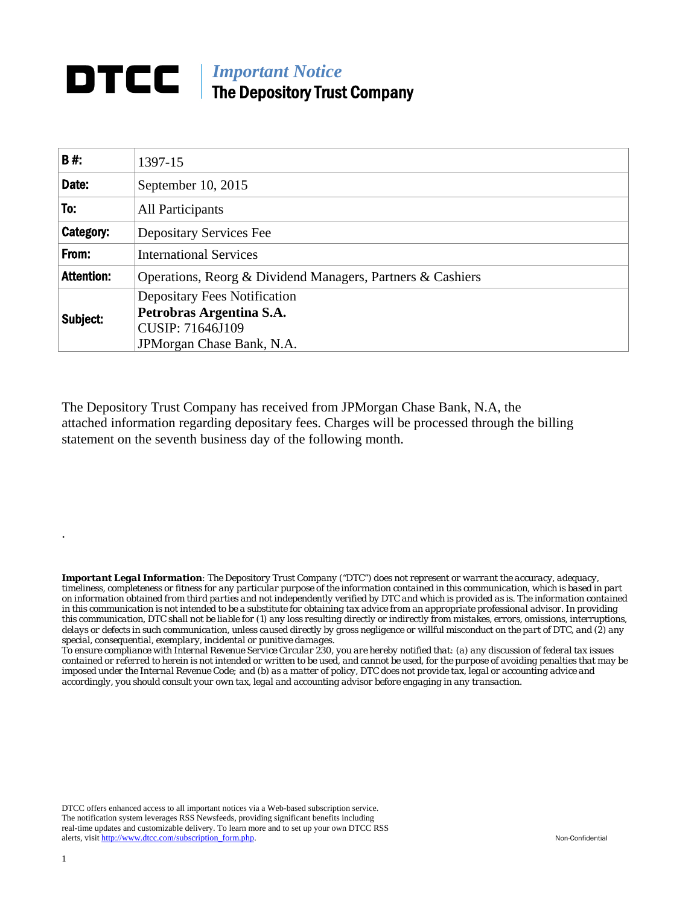## **DTCC** | *Important Notice* The Depository Trust Company

| <b>B#:</b>        | 1397-15                                                    |  |  |  |  |  |
|-------------------|------------------------------------------------------------|--|--|--|--|--|
| Date:             | September 10, 2015                                         |  |  |  |  |  |
| To:               | All Participants                                           |  |  |  |  |  |
| Category:         | <b>Depositary Services Fee</b>                             |  |  |  |  |  |
| From:             | <b>International Services</b>                              |  |  |  |  |  |
| <b>Attention:</b> | Operations, Reorg & Dividend Managers, Partners & Cashiers |  |  |  |  |  |
| Subject:          | <b>Depositary Fees Notification</b>                        |  |  |  |  |  |
|                   | Petrobras Argentina S.A.                                   |  |  |  |  |  |
|                   | CUSIP: 71646J109                                           |  |  |  |  |  |
|                   | JPM organ Chase Bank, N.A.                                 |  |  |  |  |  |

The Depository Trust Company has received from JPMorgan Chase Bank, N.A, the attached information regarding depositary fees. Charges will be processed through the billing statement on the seventh business day of the following month.

*Important Legal Information: The Depository Trust Company ("DTC") does not represent or warrant the accuracy, adequacy, timeliness, completeness or fitness for any particular purpose of the information contained in this communication, which is based in part on information obtained from third parties and not independently verified by DTC and which is provided as is. The information contained in this communication is not intended to be a substitute for obtaining tax advice from an appropriate professional advisor. In providing this communication, DTC shall not be liable for (1) any loss resulting directly or indirectly from mistakes, errors, omissions, interruptions, delays or defects in such communication, unless caused directly by gross negligence or willful misconduct on the part of DTC, and (2) any special, consequential, exemplary, incidental or punitive damages.* 

*To ensure compliance with Internal Revenue Service Circular 230, you are hereby notified that: (a) any discussion of federal tax issues contained or referred to herein is not intended or written to be used, and cannot be used, for the purpose of avoiding penalties that may be imposed under the Internal Revenue Code; and (b) as a matter of policy, DTC does not provide tax, legal or accounting advice and accordingly, you should consult your own tax, legal and accounting advisor before engaging in any transaction.*

DTCC offers enhanced access to all important notices via a Web-based subscription service. The notification system leverages RSS Newsfeeds, providing significant benefits including real-time updates and customizable delivery. To learn more and to set up your own DTCC RSS alerts, visit http://www.dtcc.com/subscription\_form.php. Non-Confidential

.